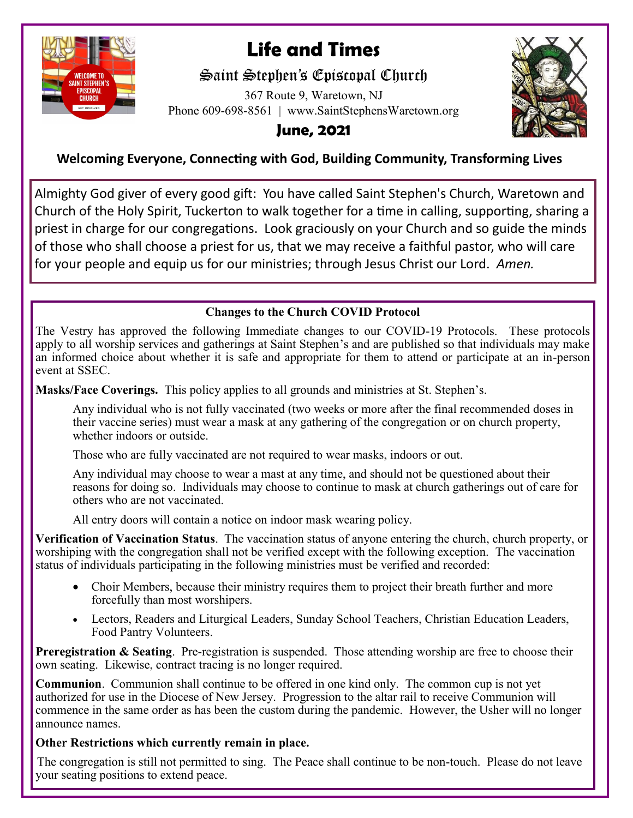

# **Life and Times**

## Saint Stephen's Episcopal Church

367 Route 9, Waretown, NJ Phone 609-698-8561 | www.SaintStephensWaretown.org



## **June, 2021**

### **Welcoming Everyone, Connecting with God, Building Community, Transforming Lives**

Almighty God giver of every good gift: You have called Saint Stephen's Church, Waretown and Church of the Holy Spirit, Tuckerton to walk together for a time in calling, supporting, sharing a priest in charge for our congregations. Look graciously on your Church and so guide the minds of those who shall choose a priest for us, that we may receive a faithful pastor, who will care for your people and equip us for our ministries; through Jesus Christ our Lord. *Amen.*

### **Changes to the Church COVID Protocol**

The Vestry has approved the following Immediate changes to our COVID-19 Protocols. These protocols apply to all worship services and gatherings at Saint Stephen's and are published so that individuals may make an informed choice about whether it is safe and appropriate for them to attend or participate at an in-person event at SSEC.

**Masks/Face Coverings.** This policy applies to all grounds and ministries at St. Stephen's.

Any individual who is not fully vaccinated (two weeks or more after the final recommended doses in their vaccine series) must wear a mask at any gathering of the congregation or on church property, whether indoors or outside.

Those who are fully vaccinated are not required to wear masks, indoors or out.

Any individual may choose to wear a mast at any time, and should not be questioned about their reasons for doing so. Individuals may choose to continue to mask at church gatherings out of care for others who are not vaccinated.

All entry doors will contain a notice on indoor mask wearing policy.

**Verification of Vaccination Status**. The vaccination status of anyone entering the church, church property, or worshiping with the congregation shall not be verified except with the following exception. The vaccination status of individuals participating in the following ministries must be verified and recorded:

- Choir Members, because their ministry requires them to project their breath further and more forcefully than most worshipers.
- Lectors, Readers and Liturgical Leaders, Sunday School Teachers, Christian Education Leaders, Food Pantry Volunteers.

**Preregistration & Seating.** Pre-registration is suspended. Those attending worship are free to choose their own seating. Likewise, contract tracing is no longer required.

**Communion**. Communion shall continue to be offered in one kind only. The common cup is not yet authorized for use in the Diocese of New Jersey. Progression to the altar rail to receive Communion will commence in the same order as has been the custom during the pandemic. However, the Usher will no longer announce names.

### **Other Restrictions which currently remain in place.**

The congregation is still not permitted to sing. The Peace shall continue to be non-touch. Please do not leave your seating positions to extend peace.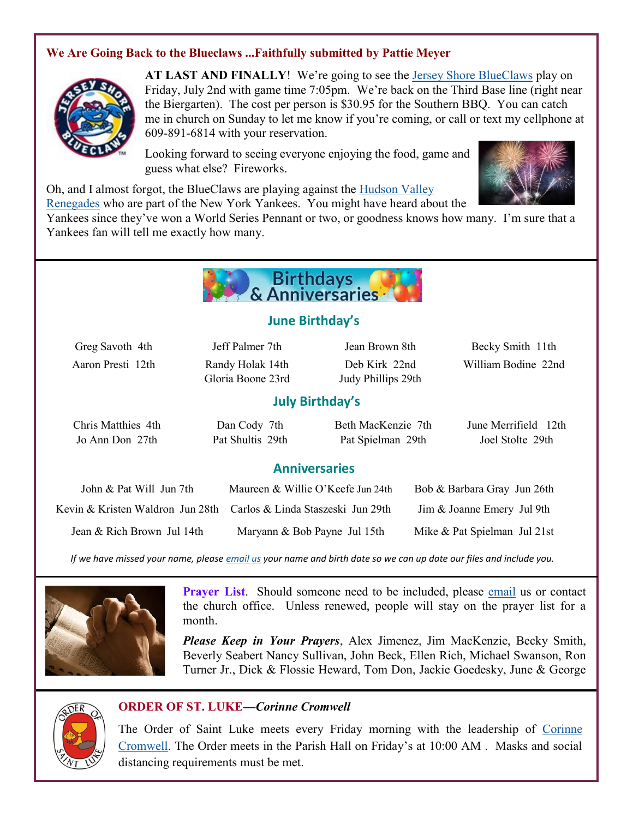### **We Are Going Back to the Blueclaws ...Faithfully submitted by Pattie Meyer**



**AT LAST AND FINALLY**! We're going to see the [Jersey Shore BlueClaws](https://www.milb.com/jersey-shore) play on Friday, July 2nd with game time 7:05pm. We're back on the Third Base line (right near the Biergarten). The cost per person is \$30.95 for the Southern BBQ. You can catch me in church on Sunday to let me know if you're coming, or call or text my cellphone at 609-891-6814 with your reservation.

Looking forward to seeing everyone enjoying the food, game and guess what else? Fireworks.



Oh, and I almost forgot, the BlueClaws are playing against the [Hudson Valley](https://www.milb.com/hudson-valley) 

[Renegades](https://www.milb.com/hudson-valley) who are part of the New York Yankees. You might have heard about the

Yankees since they've won a World Series Pennant or two, or goodness knows how many. I'm sure that a Yankees fan will tell me exactly how many.



### **June Birthday's**

Gloria Boone 23rd Judy Phillips 29th

Greg Savoth 4th Jeff Palmer 7th Jean Brown 8th Becky Smith 11th Aaron Presti 12th Randy Holak 14th Deb Kirk 22nd William Bodine 22nd

### **July Birthday's**

| Chris Matthies 4th | Dan Cody 7th     | Beth MacKenzie 7th | June Merrifield 12th |
|--------------------|------------------|--------------------|----------------------|
| Jo Ann Don 27th    | Pat Shultis 29th | Pat Spielman 29th  | Joel Stolte 29th     |

### **Anniversaries**

| John & Pat Will Jun 7th    | Maureen & Willie O'Keefe Jun 24th | Bob & Barbara Gray Jun 26th  |
|----------------------------|-----------------------------------|------------------------------|
|                            |                                   | Jim & Joanne Emery Jul 9th   |
| Jean & Rich Brown Jul 14th | Maryann & Bob Payne Jul 15th      | Mike & Pat Spielman Jul 21st |

*If we have missed your name, please [email us](mailto:parishadmin@ststephenswaretown.com?subject=Birthday%20List%20Update) your name and birth date so we can up date our files and include you.*



**Prayer List**. Should someone need to be included, please [email](mailto:saintstephenswaretown@gmail.com?subject=Prayer%20List) us or contact the church office. Unless renewed, people will stay on the prayer list for a month.

*Please Keep in Your Prayers*, Alex Jimenez, Jim MacKenzie, Becky Smith, Beverly Seabert Nancy Sullivan, John Beck, Ellen Rich, Michael Swanson, Ron Turner Jr., Dick & Flossie Heward, Tom Don, Jackie Goedesky, June & George

### **ORDER OF ST. LUKE—***Corinne Cromwell*

The Order of Saint Luke meets every Friday morning with the leadership of Corinne [Cromwell.](mailto:Ccromwell172@comcast.net?subject=OSL) The Order meets in the Parish Hall on Friday's at 10:00 AM . Masks and social distancing requirements must be met.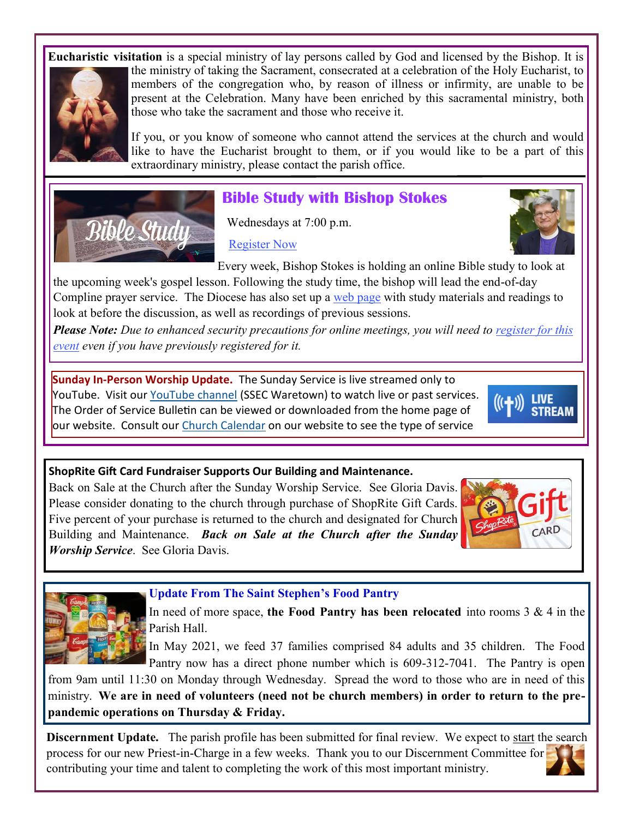**Eucharistic visitation** is a special ministry of lay persons called by God and licensed by the Bishop. It is



the ministry of taking the Sacrament, consecrated at a celebration of the Holy Eucharist, to members of the congregation who, by reason of illness or infirmity, are unable to be present at the Celebration. Many have been enriched by this sacramental ministry, both those who take the sacrament and those who receive it.

If you, or you know of someone who cannot attend the services at the church and would like to have the Eucharist brought to them, or if you would like to be a part of this extraordinary ministry, please contact the parish office.



## **Bible Study with Bishop Stokes**

Wednesdays at 7:00 p.m.

[Register Now](https://DioceseofNJ.us18.list-manage.com/track/click?u=7c264b4b77ef5ef9bcfb336c5&id=f3a25a1c05&e=436f284faa)



Every week, Bishop Stokes is holding an online Bible study to look at the upcoming week's gospel lesson. Following the study time, the bishop will lead the end-of-day Compline prayer service. The Diocese has also set up a [web page](https://DioceseofNJ.us18.list-manage.com/track/click?u=7c264b4b77ef5ef9bcfb336c5&id=d37ab5886e&e=436f284faa) with study materials and readings to look at before the discussion, as well as recordings of previous sessions.

*Please Note: Due to enhanced security precautions for online meetings, you will need to register for this [event](https://DioceseofNJ.us18.list-manage.com/track/click?u=7c264b4b77ef5ef9bcfb336c5&id=f2adf82abb&e=436f284faa) even if you have previously registered for it.* 

**Sunday In-Person Worship Update.** The Sunday Service is live streamed only to YouTube. Visit our [YouTube channel](https://www.youtube.com/channel/UCNIgy5hiB5oKXcRGJuKROdQ/videos) (SSEC Waretown) to watch live or past services. The Order of Service Bulletin can be viewed or downloaded from the home page of our website. Consult our [Church Calendar](https://saintstephenswaretown.org/calendar) on our website to see the type of service



### **ShopRite Gift Card Fundraiser Supports Our Building and Maintenance.**

Back on Sale at the Church after the Sunday Worship Service. See Gloria Davis. Please consider donating to the church through purchase of ShopRite Gift Cards. Five percent of your purchase is returned to the church and designated for Church Building and Maintenance. *Back on Sale at the Church after the Sunday Worship Service*. See Gloria Davis.





**Update From The Saint Stephen's Food Pantry** 

In need of more space, **the Food Pantry has been relocated** into rooms 3 & 4 in the Parish Hall.

In May 2021, we feed 37 families comprised 84 adults and 35 children. The Food Pantry now has a direct phone number which is 609-312-7041. The Pantry is open

from 9am until 11:30 on Monday through Wednesday. Spread the word to those who are in need of this ministry. **We are in need of volunteers (need not be church members) in order to return to the prepandemic operations on Thursday & Friday.** 

**Discernment Update.** The parish profile has been submitted for final review. We expect to start the search process for our new Priest-in-Charge in a few weeks. Thank you to our Discernment Committee for contributing your time and talent to completing the work of this most important ministry.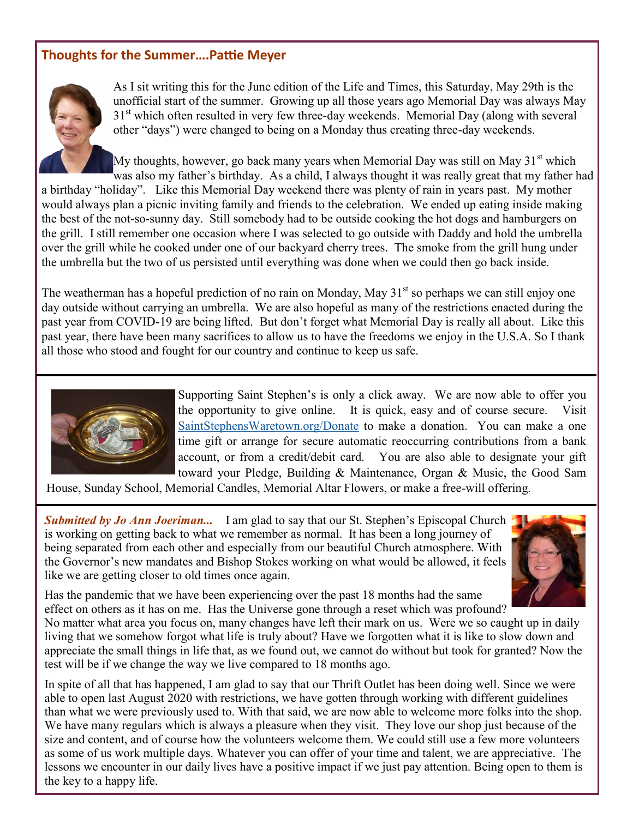### **Thoughts for the Summer….Pattie Meyer**



As I sit writing this for the June edition of the Life and Times, this Saturday, May 29th is the unofficial start of the summer. Growing up all those years ago Memorial Day was always May 31<sup>st</sup> which often resulted in very few three-day weekends. Memorial Day (along with several other "days") were changed to being on a Monday thus creating three-day weekends.

My thoughts, however, go back many years when Memorial Day was still on May  $31<sup>st</sup>$  which was also my father's birthday. As a child, I always thought it was really great that my father had a birthday "holiday". Like this Memorial Day weekend there was plenty of rain in years past. My mother would always plan a picnic inviting family and friends to the celebration. We ended up eating inside making the best of the not-so-sunny day. Still somebody had to be outside cooking the hot dogs and hamburgers on the grill. I still remember one occasion where I was selected to go outside with Daddy and hold the umbrella over the grill while he cooked under one of our backyard cherry trees. The smoke from the grill hung under the umbrella but the two of us persisted until everything was done when we could then go back inside.

The weatherman has a hopeful prediction of no rain on Monday, May  $31<sup>st</sup>$  so perhaps we can still enjoy one day outside without carrying an umbrella. We are also hopeful as many of the restrictions enacted during the past year from COVID-19 are being lifted. But don't forget what Memorial Day is really all about. Like this past year, there have been many sacrifices to allow us to have the freedoms we enjoy in the U.S.A. So I thank all those who stood and fought for our country and continue to keep us safe.



Supporting Saint Stephen's is only a click away. We are now able to offer you the opportunity to give online. It is quick, easy and of course secure. Visit [SaintStephensWaretown.org/Donate](https://saintstephenswaretown.org/donate) to make a donation. You can make a one time gift or arrange for secure automatic reoccurring contributions from a bank account, or from a credit/debit card. You are also able to designate your gift toward your Pledge, Building & Maintenance, Organ & Music, the Good Sam

House, Sunday School, Memorial Candles, Memorial Altar Flowers, or make a free-will offering.

**Submitted by Jo Ann Joeriman...** I am glad to say that our St. Stephen's Episcopal Church is working on getting back to what we remember as normal. It has been a long journey of being separated from each other and especially from our beautiful Church atmosphere. With the Governor's new mandates and Bishop Stokes working on what would be allowed, it feels like we are getting closer to old times once again.



Has the pandemic that we have been experiencing over the past 18 months had the same effect on others as it has on me. Has the Universe gone through a reset which was profound?

No matter what area you focus on, many changes have left their mark on us. Were we so caught up in daily living that we somehow forgot what life is truly about? Have we forgotten what it is like to slow down and appreciate the small things in life that, as we found out, we cannot do without but took for granted? Now the test will be if we change the way we live compared to 18 months ago.

In spite of all that has happened, I am glad to say that our Thrift Outlet has been doing well. Since we were able to open last August 2020 with restrictions, we have gotten through working with different guidelines than what we were previously used to. With that said, we are now able to welcome more folks into the shop. We have many regulars which is always a pleasure when they visit. They love our shop just because of the size and content, and of course how the volunteers welcome them. We could still use a few more volunteers as some of us work multiple days. Whatever you can offer of your time and talent, we are appreciative. The lessons we encounter in our daily lives have a positive impact if we just pay attention. Being open to them is the key to a happy life.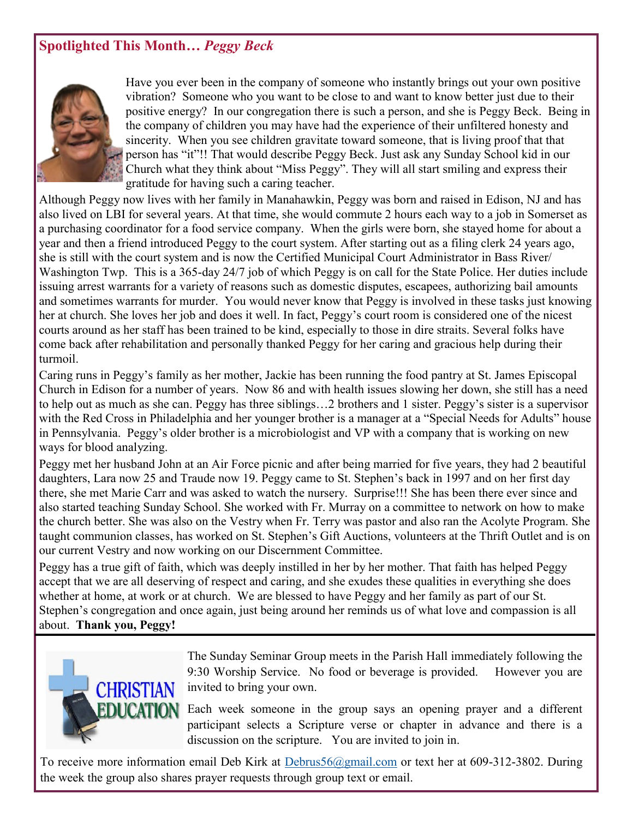### **Spotlighted This Month***… Peggy Beck*



Have you ever been in the company of someone who instantly brings out your own positive vibration? Someone who you want to be close to and want to know better just due to their positive energy? In our congregation there is such a person, and she is Peggy Beck. Being in the company of children you may have had the experience of their unfiltered honesty and sincerity. When you see children gravitate toward someone, that is living proof that that person has "it"!! That would describe Peggy Beck. Just ask any Sunday School kid in our Church what they think about "Miss Peggy". They will all start smiling and express their gratitude for having such a caring teacher.

Although Peggy now lives with her family in Manahawkin, Peggy was born and raised in Edison, NJ and has also lived on LBI for several years. At that time, she would commute 2 hours each way to a job in Somerset as a purchasing coordinator for a food service company. When the girls were born, she stayed home for about a year and then a friend introduced Peggy to the court system. After starting out as a filing clerk 24 years ago, she is still with the court system and is now the Certified Municipal Court Administrator in Bass River/ Washington Twp. This is a 365-day 24/7 job of which Peggy is on call for the State Police. Her duties include issuing arrest warrants for a variety of reasons such as domestic disputes, escapees, authorizing bail amounts and sometimes warrants for murder. You would never know that Peggy is involved in these tasks just knowing her at church. She loves her job and does it well. In fact, Peggy's court room is considered one of the nicest courts around as her staff has been trained to be kind, especially to those in dire straits. Several folks have come back after rehabilitation and personally thanked Peggy for her caring and gracious help during their turmoil.

Caring runs in Peggy's family as her mother, Jackie has been running the food pantry at St. James Episcopal Church in Edison for a number of years. Now 86 and with health issues slowing her down, she still has a need to help out as much as she can. Peggy has three siblings…2 brothers and 1 sister. Peggy's sister is a supervisor with the Red Cross in Philadelphia and her younger brother is a manager at a "Special Needs for Adults" house in Pennsylvania. Peggy's older brother is a microbiologist and VP with a company that is working on new ways for blood analyzing.

Peggy met her husband John at an Air Force picnic and after being married for five years, they had 2 beautiful daughters, Lara now 25 and Traude now 19. Peggy came to St. Stephen's back in 1997 and on her first day there, she met Marie Carr and was asked to watch the nursery. Surprise!!! She has been there ever since and also started teaching Sunday School. She worked with Fr. Murray on a committee to network on how to make the church better. She was also on the Vestry when Fr. Terry was pastor and also ran the Acolyte Program. She taught communion classes, has worked on St. Stephen's Gift Auctions, volunteers at the Thrift Outlet and is on our current Vestry and now working on our Discernment Committee.

Peggy has a true gift of faith, which was deeply instilled in her by her mother. That faith has helped Peggy accept that we are all deserving of respect and caring, and she exudes these qualities in everything she does whether at home, at work or at church. We are blessed to have Peggy and her family as part of our St. Stephen's congregation and once again, just being around her reminds us of what love and compassion is all about. **Thank you, Peggy!**



The Sunday Seminar Group meets in the Parish Hall immediately following the 9:30 Worship Service. No food or beverage is provided. However you are invited to bring your own.

Each week someone in the group says an opening prayer and a different participant selects a Scripture verse or chapter in advance and there is a discussion on the scripture. You are invited to join in.

To receive more information email Deb Kirk at [Debrus56@gmail.com](mailto:Debrus56@gmail.com) or text her at 609-312-3802. During the week the group also shares prayer requests through group text or email.